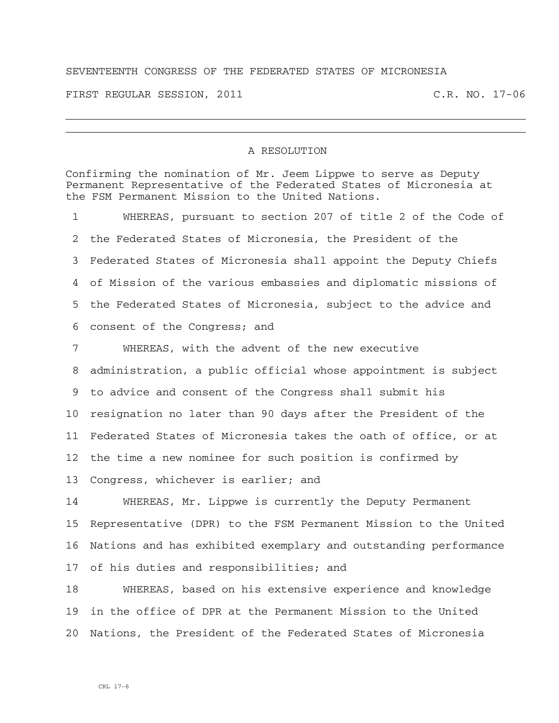## SEVENTEENTH CONGRESS OF THE FEDERATED STATES OF MICRONESIA

FIRST REGULAR SESSION, 2011 C.R. NO. 17-06

## A RESOLUTION

Confirming the nomination of Mr. Jeem Lippwe to serve as Deputy Permanent Representative of the Federated States of Micronesia at the FSM Permanent Mission to the United Nations.

1 WHEREAS, pursuant to section 207 of title 2 of the Code of 2 the Federated States of Micronesia, the President of the 3 Federated States of Micronesia shall appoint the Deputy Chiefs 4 of Mission of the various embassies and diplomatic missions of 5 the Federated States of Micronesia, subject to the advice and 6 consent of the Congress; and

7 WHEREAS, with the advent of the new executive 8 administration, a public official whose appointment is subject 9 to advice and consent of the Congress shall submit his 10 resignation no later than 90 days after the President of the 11 Federated States of Micronesia takes the oath of office, or at 12 the time a new nominee for such position is confirmed by 13 Congress, whichever is earlier; and

14 WHEREAS, Mr. Lippwe is currently the Deputy Permanent 15 Representative (DPR) to the FSM Permanent Mission to the United 16 Nations and has exhibited exemplary and outstanding performance 17 of his duties and responsibilities; and

18 WHEREAS, based on his extensive experience and knowledge 19 in the office of DPR at the Permanent Mission to the United 20 Nations, the President of the Federated States of Micronesia